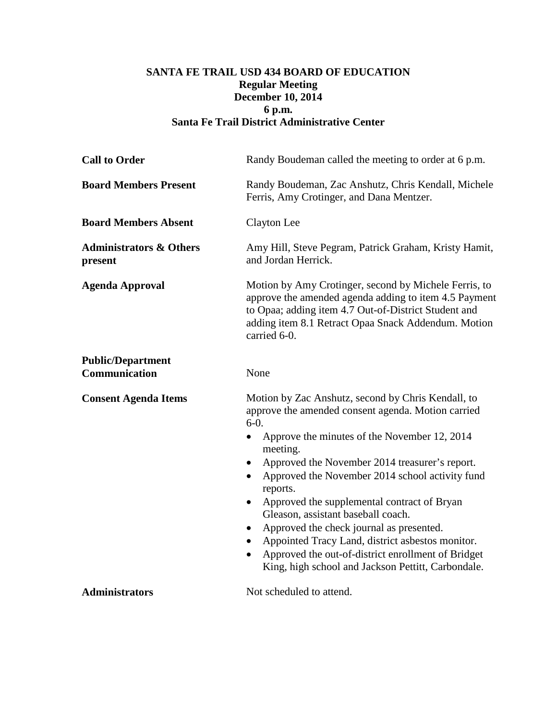## **SANTA FE TRAIL USD 434 BOARD OF EDUCATION Regular Meeting December 10, 2014 6 p.m. Santa Fe Trail District Administrative Center**

| <b>Call to Order</b>                          | Randy Boudeman called the meeting to order at 6 p.m.                                                                                                                                                                                                                                                                                                                                                                                                                                                                                                                                                                                                 |
|-----------------------------------------------|------------------------------------------------------------------------------------------------------------------------------------------------------------------------------------------------------------------------------------------------------------------------------------------------------------------------------------------------------------------------------------------------------------------------------------------------------------------------------------------------------------------------------------------------------------------------------------------------------------------------------------------------------|
| <b>Board Members Present</b>                  | Randy Boudeman, Zac Anshutz, Chris Kendall, Michele<br>Ferris, Amy Crotinger, and Dana Mentzer.                                                                                                                                                                                                                                                                                                                                                                                                                                                                                                                                                      |
| <b>Board Members Absent</b>                   | Clayton Lee                                                                                                                                                                                                                                                                                                                                                                                                                                                                                                                                                                                                                                          |
| <b>Administrators &amp; Others</b><br>present | Amy Hill, Steve Pegram, Patrick Graham, Kristy Hamit,<br>and Jordan Herrick.                                                                                                                                                                                                                                                                                                                                                                                                                                                                                                                                                                         |
| <b>Agenda Approval</b>                        | Motion by Amy Crotinger, second by Michele Ferris, to<br>approve the amended agenda adding to item 4.5 Payment<br>to Opaa; adding item 4.7 Out-of-District Student and<br>adding item 8.1 Retract Opaa Snack Addendum. Motion<br>carried 6-0.                                                                                                                                                                                                                                                                                                                                                                                                        |
| <b>Public/Department</b><br>Communication     | None                                                                                                                                                                                                                                                                                                                                                                                                                                                                                                                                                                                                                                                 |
| <b>Consent Agenda Items</b>                   | Motion by Zac Anshutz, second by Chris Kendall, to<br>approve the amended consent agenda. Motion carried<br>$6-0.$<br>Approve the minutes of the November 12, 2014<br>$\bullet$<br>meeting.<br>Approved the November 2014 treasurer's report.<br>$\bullet$<br>Approved the November 2014 school activity fund<br>reports.<br>Approved the supplemental contract of Bryan<br>$\bullet$<br>Gleason, assistant baseball coach.<br>Approved the check journal as presented.<br>Appointed Tracy Land, district asbestos monitor.<br>Approved the out-of-district enrollment of Bridget<br>$\bullet$<br>King, high school and Jackson Pettitt, Carbondale. |
| <b>Administrators</b>                         | Not scheduled to attend.                                                                                                                                                                                                                                                                                                                                                                                                                                                                                                                                                                                                                             |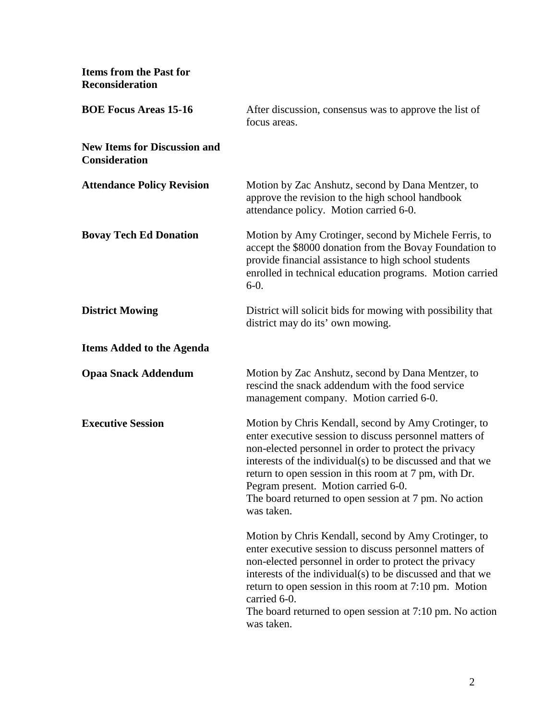**Items from the Past for Reconsideration**

| <b>BOE Focus Areas 15-16</b>                                | After discussion, consensus was to approve the list of<br>focus areas.                                                                                                                                                                                                                                                                                                                                        |
|-------------------------------------------------------------|---------------------------------------------------------------------------------------------------------------------------------------------------------------------------------------------------------------------------------------------------------------------------------------------------------------------------------------------------------------------------------------------------------------|
| <b>New Items for Discussion and</b><br><b>Consideration</b> |                                                                                                                                                                                                                                                                                                                                                                                                               |
| <b>Attendance Policy Revision</b>                           | Motion by Zac Anshutz, second by Dana Mentzer, to<br>approve the revision to the high school handbook<br>attendance policy. Motion carried 6-0.                                                                                                                                                                                                                                                               |
| <b>Bovay Tech Ed Donation</b>                               | Motion by Amy Crotinger, second by Michele Ferris, to<br>accept the \$8000 donation from the Bovay Foundation to<br>provide financial assistance to high school students<br>enrolled in technical education programs. Motion carried<br>$6-0.$                                                                                                                                                                |
| <b>District Mowing</b>                                      | District will solicit bids for mowing with possibility that<br>district may do its' own mowing.                                                                                                                                                                                                                                                                                                               |
| <b>Items Added to the Agenda</b>                            |                                                                                                                                                                                                                                                                                                                                                                                                               |
| <b>Opaa Snack Addendum</b>                                  | Motion by Zac Anshutz, second by Dana Mentzer, to<br>rescind the snack addendum with the food service<br>management company. Motion carried 6-0.                                                                                                                                                                                                                                                              |
| <b>Executive Session</b>                                    | Motion by Chris Kendall, second by Amy Crotinger, to<br>enter executive session to discuss personnel matters of<br>non-elected personnel in order to protect the privacy<br>interests of the individual(s) to be discussed and that we<br>return to open session in this room at 7 pm, with Dr.<br>Pegram present. Motion carried 6-0.<br>The board returned to open session at 7 pm. No action<br>was taken. |
|                                                             | Motion by Chris Kendall, second by Amy Crotinger, to<br>enter executive session to discuss personnel matters of<br>non-elected personnel in order to protect the privacy<br>interests of the individual(s) to be discussed and that we<br>return to open session in this room at 7:10 pm. Motion<br>carried 6-0.<br>The board returned to open session at 7:10 pm. No action<br>was taken.                    |